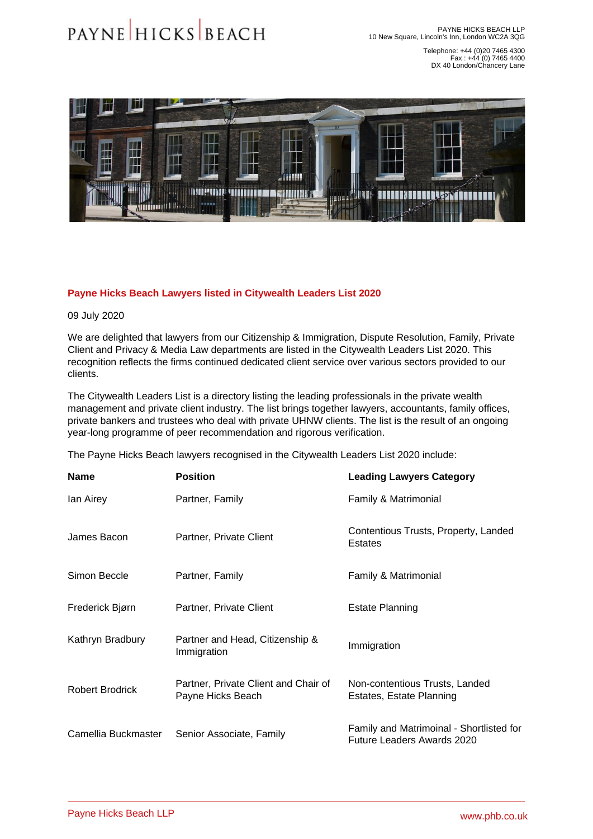Telephone: +44 (0)20 7465 4300 Fax : +44 (0) 7465 4400 DX 40 London/Chancery Lane

## Payne Hicks Beach Lawyers listed in Citywealth Leaders List 2020

09 July 2020

We are delighted that lawyers from our [Citizenship & Immigration,](�� h t t p s : / / w w w . p h b . c o . u k / o u r - s e r v i c e s / c i t i z e n s h i p - i m m i g r a t i o n) [Dispute Resolution](�� h t t p s : / / w w w . p h b . c o . u k / o u r - s e r v i c e s / d i s p u t e - r e s o l u t i o n), [Family](�� h t t p s : / / w w w . p h b . c o . u k / o u r - s e r v i c e s / f a m i l y), [Private](�� h t t p s : / / w w w . p h b . c o . u k / o u r - s e r v i c e s / p r i v a t e - c l i e n t)  [Client](�� h t t p s : / / w w w . p h b . c o . u k / o u r - s e r v i c e s / p r i v a t e - c l i e n t) and [Privacy & Media Law](�� h t t p s : / / w w w . p h b . c o . u k / o u r - s e r v i c e s / p r i v a c y - m e d i a - l a w) departments are listed in the Citywealth Leaders List 2020. This recognition reflects the firms continued dedicated client service over various sectors provided to our clients.

The Citywealth Leaders List is a directory listing the leading professionals in the private wealth management and private client industry. The list brings together lawyers, accountants, family offices, private bankers and trustees who deal with private UHNW clients. The list is the result of an ongoing year-long programme of peer recommendation and rigorous verification.

The Payne Hicks Beach lawyers recognised in the Citywealth Leaders List 2020 include:

| Name                   | Position                                                  | <b>Leading Lawyers Category</b>                                               |
|------------------------|-----------------------------------------------------------|-------------------------------------------------------------------------------|
| lan Airey              | Partner, Family                                           | Family & Matrimonial                                                          |
| James Bacon            | Partner, Private Client                                   | Contentious Trusts, Property, Landed<br><b>Estates</b>                        |
| Simon Beccle           | Partner, Family                                           | Family & Matrimonial                                                          |
| Frederick Bjørn        | Partner, Private Client                                   | <b>Estate Planning</b>                                                        |
| Kathryn Bradbury       | Partner and Head, Citizenship &<br>Immigration            | Immigration                                                                   |
| <b>Robert Brodrick</b> | Partner, Private Client and Chair of<br>Payne Hicks Beach | Non-contentious Trusts, Landed<br>Estates, Estate Planning                    |
| Camellia Buckmaster    | Senior Associate, Family                                  | Family and Matrimoinal - Shortlisted for<br><b>Future Leaders Awards 2020</b> |